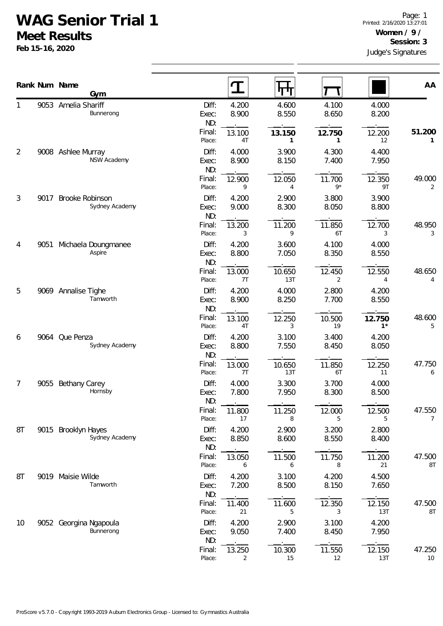## **WAG Senior Trial 1**

**Meet Results**

**Feb 15-16, 2020**

|        |      | Rank Num Name                            |                       | $\mathbf T$    | ᠮ᠇ᡃᡀ                     |                |                 | AA                      |
|--------|------|------------------------------------------|-----------------------|----------------|--------------------------|----------------|-----------------|-------------------------|
|        |      | Gym<br>9053 Amelia Shariff<br>Bunnerong  | Diff:<br>Exec:<br>ND: | 4.200<br>8.900 | 4.600<br>8.550           | 4.100<br>8.650 | 4.000<br>8.200  |                         |
|        |      |                                          | Final:<br>Place:      | 13.100<br>4T   | 13.150<br>$\mathbf{1}$   | 12.750<br>1    | 12.200<br>12    | 51.200<br>1             |
| 2      |      | 9008 Ashlee Murray<br><b>NSW Academy</b> | Diff:<br>Exec:<br>ND: | 4.000<br>8.900 | 3.900<br>8.150           | 4.300<br>7.400 | 4.400<br>7.950  |                         |
|        |      |                                          | Final:<br>Place:      | 12.900<br>9    | 12.050<br>$\overline{4}$ | 11.700<br>$9*$ | 12.350<br>9T    | 49.000<br>2             |
| 3      | 9017 | Brooke Robinson<br>Sydney Academy        | Diff:<br>Exec:<br>ND: | 4.200<br>9.000 | 2.900<br>8.300           | 3.800<br>8.050 | 3.900<br>8.800  |                         |
|        |      |                                          | Final:<br>Place:      | 13.200<br>3    | 11.200<br>9              | 11.850<br>6T   | 12.700<br>3     | 48.950<br>3             |
| 4<br>5 | 9051 | Michaela Doungmanee<br>Aspire            | Diff:<br>Exec:<br>ND: | 4.200<br>8.800 | 3.600<br>7.050           | 4.100<br>8.350 | 4.000<br>8.550  |                         |
|        |      |                                          | Final:<br>Place:      | 13.000<br>7T   | 10.650<br>13T            | 12.450<br>2    | 12.550<br>4     | 48.650<br>4             |
|        |      | 9069 Annalise Tighe<br>Tamworth          | Diff:<br>Exec:<br>ND: | 4.200<br>8.900 | 4.000<br>8.250           | 2.800<br>7.700 | 4.200<br>8.550  |                         |
|        |      |                                          | Final:<br>Place:      | 13.100<br>4T   | 12.250<br>3              | 10.500<br>19   | 12.750<br>$1^*$ | 48.600<br>5             |
| 6      | 9064 | Que Penza<br>Sydney Academy              | Diff:<br>Exec:<br>ND: | 4.200<br>8.800 | 3.100<br>7.550           | 3.400<br>8.450 | 4.200<br>8.050  |                         |
|        |      |                                          | Final:<br>Place:      | 13.000<br>7T   | 10.650<br>13T            | 11.850<br>6T   | 12.250<br>11    | 47.750<br>6             |
| 7      | 9055 | Bethany Carey<br>Hornsby                 | Diff:<br>Exec:<br>ND: | 4.000<br>7.800 | 3.300<br>7.950           | 3.700<br>8.300 | 4.000<br>8.500  |                         |
|        |      |                                          | Final:<br>Place:      | 11.800<br>17   | 11.250<br>8              | 12.000<br>5    | 12.500<br>5     | 47.550<br>7             |
| 8T     |      | 9015 Brooklyn Hayes<br>Sydney Academy    | Diff:<br>Exec:<br>ND: | 4.200<br>8.850 | 2.900<br>8.600           | 3.200<br>8.550 | 2.800<br>8.400  |                         |
|        |      |                                          | Final:<br>Place:      | 13.050<br>6    | 11.500<br>6              | 11.750<br>8    | 11.200<br>21    | 47.500<br>$8\mathsf{T}$ |
| 8T     |      | 9019 Maisie Wilde<br>Tamworth            | Diff:<br>Exec:<br>ND: | 4.200<br>7.200 | 3.100<br>8.500           | 4.200<br>8.150 | 4.500<br>7.650  |                         |
|        |      |                                          | Final:<br>Place:      | 11.400<br>21   | 11.600<br>5              | 12.350<br>3    | 12.150<br>13T   | 47.500<br>8T            |
| 10     |      | 9052 Georgina Ngapoula<br>Bunnerong      | Diff:<br>Exec:<br>ND: | 4.200<br>9.050 | 2.900<br>7.400           | 3.100<br>8.450 | 4.200<br>7.950  |                         |
|        |      |                                          | Final:<br>Place:      | 13.250<br>2    | 10.300<br>15             | 11.550<br>12   | 12.150<br>13T   | 47.250<br>10            |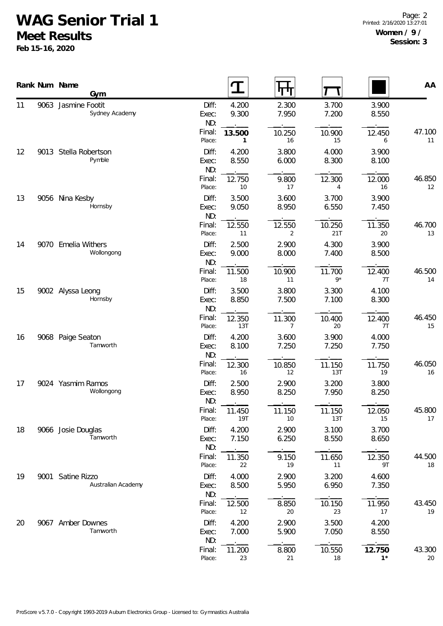## **WAG Senior Trial 1**

**Meet Results**

**Feb 15-16, 2020**

|    | Rank Num Name<br>Gym                    |                       |                |                          |                |                | AA           |
|----|-----------------------------------------|-----------------------|----------------|--------------------------|----------------|----------------|--------------|
| 11 | 9063 Jasmine Footit<br>Sydney Academy   | Diff:<br>Exec:<br>ND: | 4.200<br>9.300 | 2.300<br>7.950           | 3.700<br>7.200 | 3.900<br>8.550 |              |
|    |                                         | Final:<br>Place:      | 13.500<br>1    | 10.250<br>16             | 10.900<br>15   | 12.450<br>6    | 47.100<br>11 |
| 12 | 9013 Stella Robertson<br>Pymble         | Diff:<br>Exec:<br>ND: | 4.200<br>8.550 | 3.800<br>6.000           | 4.000<br>8.300 | 3.900<br>8.100 |              |
|    |                                         | Final:<br>Place:      | 12.750<br>10   | 9.800<br>17              | 12.300<br>4    | 12.000<br>16   | 46.850<br>12 |
| 13 | 9056 Nina Kesby<br>Hornsby              | Diff:<br>Exec:<br>ND: | 3.500<br>9.050 | 3.600<br>8.950           | 3.700<br>6.550 | 3.900<br>7.450 |              |
|    |                                         | Final:<br>Place:      | 12.550<br>11   | 12.550<br>2              | 10.250<br>21T  | 11.350<br>20   | 46.700<br>13 |
| 14 | 9070 Emelia Withers<br>Wollongong       | Diff:<br>Exec:<br>ND: | 2.500<br>9.000 | 2.900<br>8.000           | 4.300<br>7.400 | 3.900<br>8.500 |              |
|    |                                         | Final:<br>Place:      | 11.500<br>18   | 10.900<br>11             | 11.700<br>$9*$ | 12.400<br>7T   | 46.500<br>14 |
| 15 | 9002 Alyssa Leong<br>Hornsby            | Diff:<br>Exec:<br>ND: | 3.500<br>8.850 | 3.800<br>7.500           | 3.300<br>7.100 | 4.100<br>8.300 |              |
|    |                                         | Final:<br>Place:      | 12.350<br>13T  | 11.300<br>$\overline{7}$ | 10.400<br>20   | 12.400<br>7T   | 46.450<br>15 |
| 16 | 9068 Paige Seaton<br>Tamworth           | Diff:<br>Exec:<br>ND: | 4.200<br>8.100 | 3.600<br>7.250           | 3.900<br>7.250 | 4.000<br>7.750 |              |
|    |                                         | Final:<br>Place:      | 12.300<br>16   | 10.850<br>12             | 11.150<br>13T  | 11.750<br>19   | 46.050<br>16 |
| 17 | 9024 Yasmim Ramos<br>Wollongong         | Diff:<br>Exec:<br>ND: | 2.500<br>8.950 | 2.900<br>8.250           | 3.200<br>7.950 | 3.800<br>8.250 |              |
|    |                                         | Final:<br>Place:      | 11.450<br>19T  | 11.150<br>10             | 11.150<br>13T  | 12.050<br>15   | 45.800<br>17 |
| 18 | 9066 Josie Douglas<br>Tamworth          | Diff:<br>Exec:<br>ND: | 4.200<br>7.150 | 2.900<br>6.250           | 3.100<br>8.550 | 3.700<br>8.650 |              |
|    |                                         | Final:<br>Place:      | 11.350<br>22   | 9.150<br>19              | 11.650<br>11   | 12.350<br>9T   | 44.500<br>18 |
| 19 | 9001 Satine Rizzo<br>Australian Academy | Diff:<br>Exec:<br>ND: | 4.000<br>8.500 | 2.900<br>5.950           | 3.200<br>6.950 | 4.600<br>7.350 |              |
|    |                                         | Final:<br>Place:      | 12.500<br>12   | 8.850<br>20              | 10.150<br>23   | 11.950<br>17   | 43.450<br>19 |
| 20 | 9067 Amber Downes<br>Tamworth           | Diff:<br>Exec:<br>ND: | 4.200<br>7.000 | 2.900<br>5.900           | 3.500<br>7.050 | 4.200<br>8.550 |              |
|    |                                         | Final:<br>Place:      | 11.200<br>23   | 8.800<br>21              | 10.550<br>18   | 12.750<br>$1*$ | 43.300<br>20 |